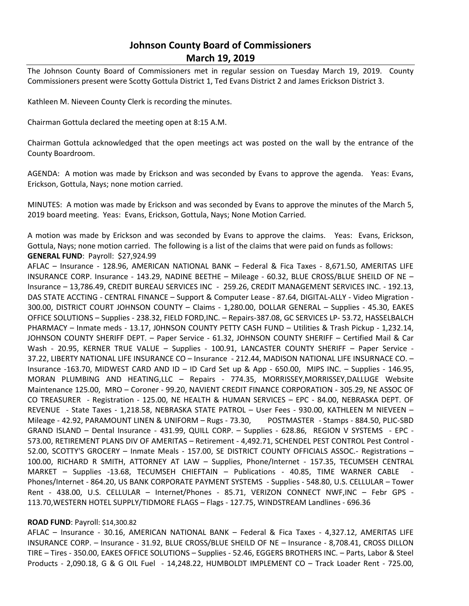# **Johnson County Board of Commissioners March 19, 2019**

The Johnson County Board of Commissioners met in regular session on Tuesday March 19, 2019. County Commissioners present were Scotty Gottula District 1, Ted Evans District 2 and James Erickson District 3.

Kathleen M. Nieveen County Clerk is recording the minutes.

Chairman Gottula declared the meeting open at 8:15 A.M.

Chairman Gottula acknowledged that the open meetings act was posted on the wall by the entrance of the County Boardroom.

AGENDA: A motion was made by Erickson and was seconded by Evans to approve the agenda. Yeas: Evans, Erickson, Gottula, Nays; none motion carried.

MINUTES: A motion was made by Erickson and was seconded by Evans to approve the minutes of the March 5, 2019 board meeting. Yeas: Evans, Erickson, Gottula, Nays; None Motion Carried.

A motion was made by Erickson and was seconded by Evans to approve the claims. Yeas: Evans, Erickson, Gottula, Nays; none motion carried. The following is a list of the claims that were paid on funds as follows: **GENERAL FUND**: Payroll: \$27,924.99

AFLAC – Insurance - 128.96, AMERICAN NATIONAL BANK – Federal & Fica Taxes - 8,671.50, AMERITAS LIFE INSURANCE CORP. Insurance - 143.29, NADINE BEETHE – Mileage - 60.32, BLUE CROSS/BLUE SHEILD OF NE – Insurance – 13,786.49, CREDIT BUREAU SERVICES INC - 259.26, CREDIT MANAGEMENT SERVICES INC. - 192.13, DAS STATE ACCTING - CENTRAL FINANCE – Support & Computer Lease - 87.64, DIGITAL-ALLY - Video Migration - 300.00, DISTRICT COURT JOHNSON COUNTY – Claims - 1,280.00, DOLLAR GENERAL – Supplies - 45.30, EAKES OFFICE SOLUTIONS – Supplies - 238.32, FIELD FORD,INC. – Repairs-387.08, GC SERVICES LP- 53.72, HASSELBALCH PHARMACY – Inmate meds - 13.17, J0HNSON COUNTY PETTY CASH FUND – Utilities & Trash Pickup - 1,232.14, JOHNSON COUNTY SHERIFF DEPT. – Paper Service - 61.32, JOHNSON COUNTY SHERIFF – Certified Mail & Car Wash - 20.95, KERNER TRUE VALUE – Supplies - 100.91, LANCASTER COUNTY SHERIFF – Paper Service -37.22, LIBERTY NATIONAL LIFE INSURANCE CO – Insurance - 212.44, MADISON NATIONAL LIFE INSURNACE CO. – Insurance -163.70, MIDWEST CARD AND ID – ID Card Set up & App - 650.00, MIPS INC. – Supplies - 146.95, MORAN PLUMBING AND HEATING,LLC – Repairs - 774.35, MORRISSEY,MORRISSEY,DALLUGE Website Maintenance 125.00, MRO – Coroner - 99.20, NAVIENT CREDIT FINANCE CORPORATION - 305.29, NE ASSOC OF CO TREASURER - Registration - 125.00, NE HEALTH & HUMAN SERVICES – EPC - 84.00, NEBRASKA DEPT. OF REVENUE - State Taxes - 1,218.58, NEBRASKA STATE PATROL – User Fees - 930.00, KATHLEEN M NIEVEEN – Mileage - 42.92, PARAMOUNT LINEN & UNIFORM – Rugs - 73.30, POSTMASTER - Stamps - 884.50, PLIC-SBD GRAND ISLAND – Dental Insurance - 431.99, QUILL CORP. – Supplies - 628.86, REGION V SYSTEMS - EPC - 573.00, RETIREMENT PLANS DIV OF AMERITAS – Retirement - 4,492.71, SCHENDEL PEST CONTROL Pest Control - 52.00, SCOTTY'S GROCERY – Inmate Meals - 157.00, SE DISTRICT COUNTY OFFICIALS ASSOC.- Registrations – 100.00, RICHARD R SMITH, ATTORNEY AT LAW – Supplies, Phone/Internet - 157.35, TECUMSEH CENTRAL MARKET - Supplies -13.68, TECUMSEH CHIEFTAIN - Publications - 40.85, TIME WARNER CABLE Phones/Internet - 864.20, US BANK CORPORATE PAYMENT SYSTEMS - Supplies - 548.80, U.S. CELLULAR – Tower Rent - 438.00, U.S. CELLULAR – Internet/Phones - 85.71, VERIZON CONNECT NWF,INC – Febr GPS - 113.70,WESTERN HOTEL SUPPLY/TIDMORE FLAGS – Flags - 127.75, WINDSTREAM Landlines - 696.36

#### **ROAD FUND**: Payroll: \$14,300.82

AFLAC – Insurance - 30.16, AMERICAN NATIONAL BANK – Federal & Fica Taxes - 4,327.12, AMERITAS LIFE INSURANCE CORP. – Insurance - 31.92, BLUE CROSS/BLUE SHEILD OF NE – Insurance - 8,708.41, CROSS DILLON TIRE – Tires - 350.00, EAKES OFFICE SOLUTIONS – Supplies - 52.46, EGGERS BROTHERS INC. – Parts, Labor & Steel Products - 2,090.18, G & G OIL Fuel - 14,248.22, HUMBOLDT IMPLEMENT CO – Track Loader Rent - 725.00,